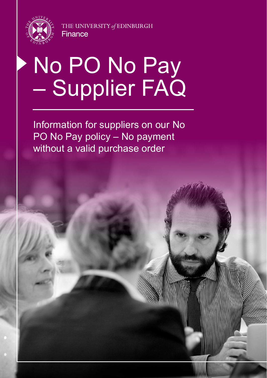

THE UNIVERSITY of EDINBURGH **Finance** 

# No PO No Pay – Supplier FAQ

Information for suppliers on our No PO No Pay policy – No payment without a valid purchase order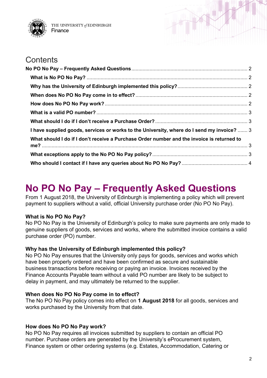

THE UNIVERSITY of EDINBURGH Finance

### **Contents**

| I have supplied goods, services or works to the University, where do I send my invoice?  3 |  |
|--------------------------------------------------------------------------------------------|--|
| What should I do if I don't receive a Purchase Order number and the invoice is returned to |  |
|                                                                                            |  |
|                                                                                            |  |
|                                                                                            |  |

## <span id="page-1-0"></span>**No PO No Pay – Frequently Asked Questions**

From 1 August 2018, the University of Edinburgh is implementing a policy which will prevent payment to suppliers without a valid, official University purchase order (No PO No Pay).

#### <span id="page-1-1"></span>**What is No PO No Pay?**

No PO No Pay is the University of Edinburgh's policy to make sure payments are only made to genuine suppliers of goods, services and works, where the submitted invoice contains a valid purchase order (PO) number.

#### <span id="page-1-2"></span>**Why has the University of Edinburgh implemented this policy?**

No PO No Pay ensures that the University only pays for goods, services and works which have been properly ordered and have been confirmed as secure and sustainable business transactions before receiving or paying an invoice. Invoices received by the Finance Accounts Payable team without a valid PO number are likely to be subject to delay in payment, and may ultimately be returned to the supplier.

#### <span id="page-1-3"></span>**When does No PO No Pay come in to effect?**

The No PO No Pay policy comes into effect on **1 August 2018** for all goods, services and works purchased by the University from that date.

#### <span id="page-1-4"></span>**How does No PO No Pay work?**

No PO No Pay requires all invoices submitted by suppliers to contain an official PO number. Purchase orders are generated by the University's eProcurement system, Finance system or other ordering systems (e.g. Estates, Accommodation, Catering or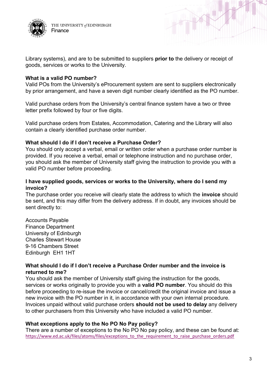



Library systems), and are to be submitted to suppliers **prior to** the delivery or receipt of goods, services or works to the University.

#### <span id="page-2-0"></span>**What is a valid PO number?**

Valid POs from the University's eProcurement system are sent to suppliers electronically by prior arrangement, and have a seven digit number clearly identified as the PO number.

Valid purchase orders from the University's central finance system have a two or three letter prefix followed by four or five digits.

Valid purchase orders from Estates, Accommodation, Catering and the Library will also contain a clearly identified purchase order number.

#### <span id="page-2-1"></span>**What should I do if I don't receive a Purchase Order?**

You should only accept a verbal, email or written order when a purchase order number is provided. If you receive a verbal, email or telephone instruction and no purchase order, you should ask the member of University staff giving the instruction to provide you with a valid PO number before proceeding.

#### <span id="page-2-2"></span>**I have supplied goods, services or works to the University, where do I send my invoice?**

The purchase order you receive will clearly state the address to which the **invoice** should be sent, and this may differ from the delivery address. If in doubt, any invoices should be sent directly to:

Accounts Payable Finance Department University of Edinburgh Charles Stewart House 9-16 Chambers Street Edinburgh EH1 1HT

#### <span id="page-2-3"></span>**What should I do if I don't receive a Purchase Order number and the invoice is returned to me?**

You should ask the member of University staff giving the instruction for the goods, services or works originally to provide you with a **valid PO number**. You should do this before proceeding to re-issue the invoice or cancel/credit the original invoice and issue a new invoice with the PO number in it, in accordance with your own internal procedure. Invoices unpaid without valid purchase orders **should not be used to delay** any delivery to other purchasers from this University who have included a valid PO number.

#### <span id="page-2-4"></span>**What exceptions apply to the No PO No Pay policy?**

There are a number of exceptions to the No PO No pay policy, and these can be found at: [https://www.ed.ac.uk/files/atoms/files/exceptions\\_to\\_the\\_requirement\\_to\\_raise\\_purchase\\_orders.pdf](https://www.ed.ac.uk/files/atoms/files/exceptions_to_the_requirement_to_raise_purchase_orders.pdf)